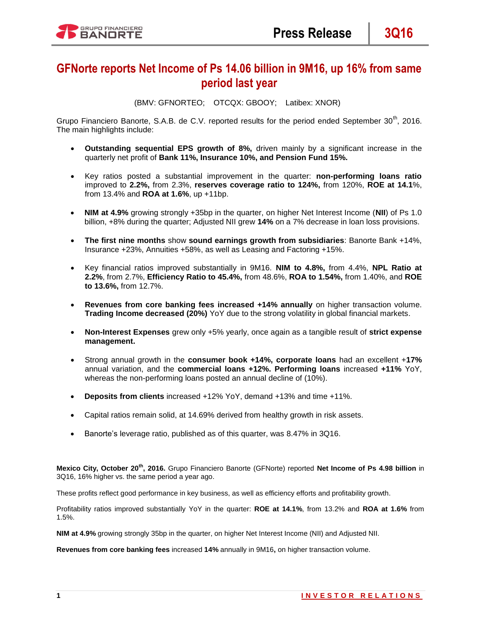# **GFNorte reports Net Income of Ps 14.06 billion in 9M16, up 16% from same period last year**

(BMV: GFNORTEO; OTCQX: GBOOY; Latibex: XNOR)

Grupo Financiero Banorte, S.A.B. de C.V. reported results for the period ended September 30<sup>th</sup>. 2016. The main highlights include:

- **Outstanding sequential EPS growth of 8%,** driven mainly by a significant increase in the quarterly net profit of **Bank 11%, Insurance 10%, and Pension Fund 15%.**
- Key ratios posted a substantial improvement in the quarter: **non-performing loans ratio**  improved to **2.2%,** from 2.3%, **reserves coverage ratio to 124%,** from 120%, **ROE at 14.1**%, from 13.4% and **ROA at 1.6%**, up +11bp.
- **NIM at 4.9%** growing strongly +35bp in the quarter, on higher Net Interest Income (**NII**) of Ps 1.0 billion, +8% during the quarter; Adjusted NII grew **14%** on a 7% decrease in loan loss provisions.
- **The first nine months** show **sound earnings growth from subsidiaries**: Banorte Bank +14%, Insurance +23%, Annuities +58%, as well as Leasing and Factoring +15%.
- Key financial ratios improved substantially in 9M16. **NIM to 4.8%,** from 4.4%, **NPL Ratio at 2.2%**, from 2.7%, **Efficiency Ratio to 45.4%,** from 48.6%, **ROA to 1.54%,** from 1.40%, and **ROE to 13.6%,** from 12.7%.
- **Revenues from core banking fees increased +14% annually** on higher transaction volume. **Trading Income decreased (20%)** YoY due to the strong volatility in global financial markets.
- **Non-Interest Expenses** grew only +5% yearly, once again as a tangible result of **strict expense management.**
- Strong annual growth in the **consumer book +14%, corporate loans** had an excellent +**17%** annual variation, and the **commercial loans +12%. Performing loans** increased **+11%** YoY, whereas the non-performing loans posted an annual decline of (10%).
- **Deposits from clients** increased +12% YoY, demand +13% and time +11%.
- Capital ratios remain solid, at 14.69% derived from healthy growth in risk assets.
- Banorte's leverage ratio, published as of this quarter, was 8.47% in 3Q16.

**Mexico City, October 20th, 2016.** Grupo Financiero Banorte (GFNorte) reported **Net Income of Ps 4.98 billion** in 3Q16, 16% higher vs. the same period a year ago.

These profits reflect good performance in key business, as well as efficiency efforts and profitability growth.

Profitability ratios improved substantially YoY in the quarter: **ROE at 14.1%**, from 13.2% and **ROA at 1.6%** from 1.5%.

**NIM at 4.9%** growing strongly 35bp in the quarter, on higher Net Interest Income (NII) and Adjusted NII.

**Revenues from core banking fees** increased **14%** annually in 9M16**,** on higher transaction volume.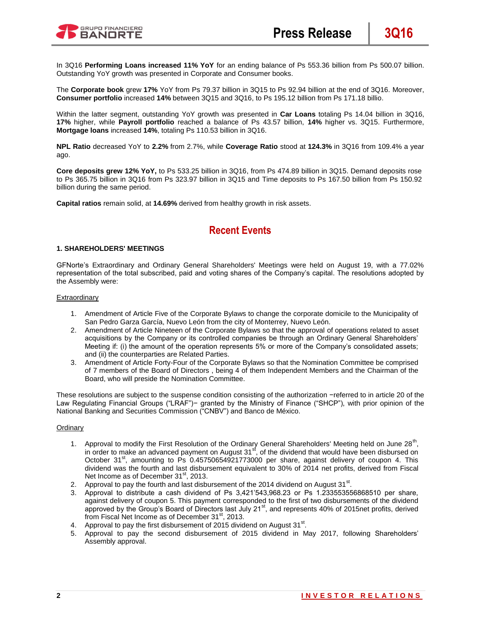

In 3Q16 **Performing Loans increased 11% YoY** for an ending balance of Ps 553.36 billion from Ps 500.07 billion. Outstanding YoY growth was presented in Corporate and Consumer books.

The **Corporate book** grew **17%** YoY from Ps 79.37 billion in 3Q15 to Ps 92.94 billion at the end of 3Q16. Moreover, **Consumer portfolio** increased **14%** between 3Q15 and 3Q16, to Ps 195.12 billion from Ps 171.18 billio.

Within the latter segment, outstanding YoY growth was presented in **Car Loans** totaling Ps 14.04 billion in 3Q16, **17%** higher, while **Payroll portfolio** reached a balance of Ps 43.57 billion, **14%** higher vs. 3Q15. Furthermore, **Mortgage loans** increased **14%**, totaling Ps 110.53 billion in 3Q16.

**NPL Ratio** decreased YoY to **2.2%** from 2.7%, while **Coverage Ratio** stood at **124.3%** in 3Q16 from 109.4% a year ago.

**Core deposits grew 12% YoY,** to Ps 533.25 billion in 3Q16, from Ps 474.89 billion in 3Q15. Demand deposits rose to Ps 365.75 billion in 3Q16 from Ps 323.97 billion in 3Q15 and Time deposits to Ps 167.50 billion from Ps 150.92 billion during the same period.

**Capital ratios** remain solid, at **14.69%** derived from healthy growth in risk assets.

## **Recent Events**

#### **1. SHAREHOLDERS' MEETINGS**

GFNorte's Extraordinary and Ordinary General Shareholders' Meetings were held on August 19, with a 77.02% representation of the total subscribed, paid and voting shares of the Company's capital. The resolutions adopted by the Assembly were:

#### Extraordinary

- 1. Amendment of Article Five of the Corporate Bylaws to change the corporate domicile to the Municipality of San Pedro Garza García, Nuevo León from the city of Monterrey, Nuevo León.
- 2. Amendment of Article Nineteen of the Corporate Bylaws so that the approval of operations related to asset acquisitions by the Company or its controlled companies be through an Ordinary General Shareholders' Meeting if: (i) the amount of the operation represents 5% or more of the Company's consolidated assets; and (ii) the counterparties are Related Parties.
- 3. Amendment of Article Forty-Four of the Corporate Bylaws so that the Nomination Committee be comprised of 7 members of the Board of Directors , being 4 of them Independent Members and the Chairman of the Board, who will preside the Nomination Committee.

These resolutions are subject to the suspense condition consisting of the authorization −referred to in article 20 of the Law Regulating Financial Groups ("LRAF")− granted by the Ministry of Finance ("SHCP"), with prior opinion of the National Banking and Securities Commission ("CNBV") and Banco de México.

#### **Ordinary**

- 1. Approval to modify the First Resolution of the Ordinary General Shareholders' Meeting held on June 28<sup>th</sup>, in order to make an advanced payment on August  $31<sup>st</sup>$ , of the dividend that would have been disbursed on October  $31^{\text{st}}$ , amounting to Ps 0.45750654921773000 per share, against delivery of coupon 4. This dividend was the fourth and last disbursement equivalent to 30% of 2014 net profits, derived from Fiscal Net Income as of December 31st, 2013.
- 2. Approval to pay the fourth and last disbursement of the 2014 dividend on August 31 $^{\rm st}$ .
- 3. Approval to distribute a cash dividend of Ps 3,421'543,968.23 or Ps 1.233553556868510 per share, against delivery of coupon 5. This payment corresponded to the first of two disbursements of the dividend approved by the Group's Board of Directors last July 21<sup>st</sup>, and represents 40% of 2015net profits, derived from Fiscal Net Income as of December 31<sup>st</sup>, 2013.
- 4. Approval to pay the first disbursement of 2015 dividend on August 31 $^{\rm st}$ .
- 5. Approval to pay the second disbursement of 2015 dividend in May 2017, following Shareholders' Assembly approval.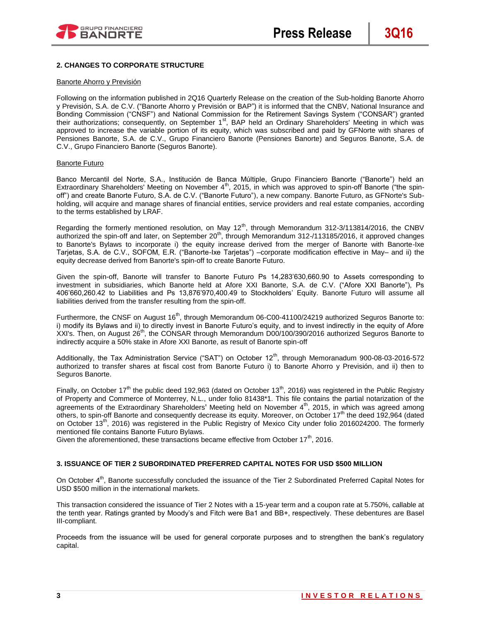

## **2. CHANGES TO CORPORATE STRUCTURE**

#### Banorte Ahorro y Previsión

Following on the information published in 2Q16 Quarterly Release on the creation of the Sub-holding Banorte Ahorro y Previsión, S.A. de C.V. ("Banorte Ahorro y Previsión or BAP") it is informed that the CNBV, National Insurance and Bonding Commission ("CNSF") and National Commission for the Retirement Savings System ("CONSAR") granted their authorizations; consequently, on September 1<sup>st</sup>, BAP held an Ordinary Shareholders' Meeting in which was approved to increase the variable portion of its equity, which was subscribed and paid by GFNorte with shares of Pensiones Banorte, S.A. de C.V., Grupo Financiero Banorte (Pensiones Banorte) and Seguros Banorte, S.A. de C.V., Grupo Financiero Banorte (Seguros Banorte).

#### Banorte Futuro

Banco Mercantil del Norte, S.A., Institución de Banca Múltiple, Grupo Financiero Banorte ("Banorte") held an Extraordinary Shareholders' Meeting on November 4<sup>th</sup>, 2015, in which was approved to spin-off Banorte ("the spinoff") and create Banorte Futuro, S.A. de C.V. ("Banorte Futuro"), a new company. Banorte Futuro, as GFNorte's Subholding, will acquire and manage shares of financial entities, service providers and real estate companies, according to the terms established by LRAF.

Regarding the formerly mentioned resolution, on May  $12<sup>th</sup>$ , through Memorandum 312-3/113814/2016, the CNBV authorized the spin-off and later, on September  $20<sup>th</sup>$ , through Memorandum 312-/113185/2016, it approved changes to Banorte's Bylaws to incorporate i) the equity increase derived from the merger of Banorte with Banorte-Ixe Tarjetas, S.A. de C.V., SOFOM, E.R. ("Banorte-Ixe Tarjetas") –corporate modification effective in May– and ii) the equity decrease derived from Banorte's spin-off to create Banorte Futuro.

Given the spin-off, Banorte will transfer to Banorte Futuro Ps 14,283'630,660.90 to Assets corresponding to investment in subsidiaries, which Banorte held at Afore XXI Banorte, S.A. de C.V. ("Afore XXI Banorte"), Ps 406'660,260.42 to Liabilities and Ps 13,876'970,400.49 to Stockholders' Equity. Banorte Futuro will assume all liabilities derived from the transfer resulting from the spin-off.

Furthermore, the CNSF on August 16<sup>th</sup>, through Memorandum 06-C00-41100/24219 authorized Seguros Banorte to: i) modify its Bylaws and ii) to directly invest in Banorte Futuro's equity, and to invest indirectly in the equity of Afore XXI's. Then, on August  $26<sup>th</sup>$ , the CONSAR through Memorandum D00/100/390/2016 authorized Seguros Banorte to indirectly acquire a 50% stake in Afore XXI Banorte, as result of Banorte spin-off

Additionally, the Tax Administration Service ("SAT") on October 12<sup>th</sup>, through Memoranadum 900-08-03-2016-572 authorized to transfer shares at fiscal cost from Banorte Futuro i) to Banorte Ahorro y Previsión, and ii) then to Seguros Banorte.

Finally, on October 17<sup>th</sup> the public deed 192,963 (dated on October 13<sup>th</sup>, 2016) was registered in the Public Registry of Property and Commerce of Monterrey, N.L., under folio 81438\*1. This file contains the partial notarization of the agreements of the Extraordinary Shareholders' Meeting held on November 4<sup>th</sup>, 2015, in which was agreed among others, to spin-off Banorte and consequently decrease its equity. Moreover, on October 17<sup>th</sup> the deed 192,964 (dated on October 13<sup>th</sup>, 2016) was registered in the Public Registry of Mexico City under folio 2016024200. The formerly mentioned file contains Banorte Futuro Bylaws.

Given the aforementioned, these transactions became effective from October  $17<sup>th</sup>$ , 2016.

## **3. ISSUANCE OF TIER 2 SUBORDINATED PREFERRED CAPITAL NOTES FOR USD \$500 MILLION**

On October 4<sup>th</sup>, Banorte successfully concluded the issuance of the Tier 2 Subordinated Preferred Capital Notes for USD \$500 million in the international markets.

This transaction considered the issuance of Tier 2 Notes with a 15-year term and a coupon rate at 5.750%, callable at the tenth year. Ratings granted by Moody's and Fitch were Ba1 and BB+, respectively. These debentures are Basel III-compliant.

Proceeds from the issuance will be used for general corporate purposes and to strengthen the bank's regulatory capital.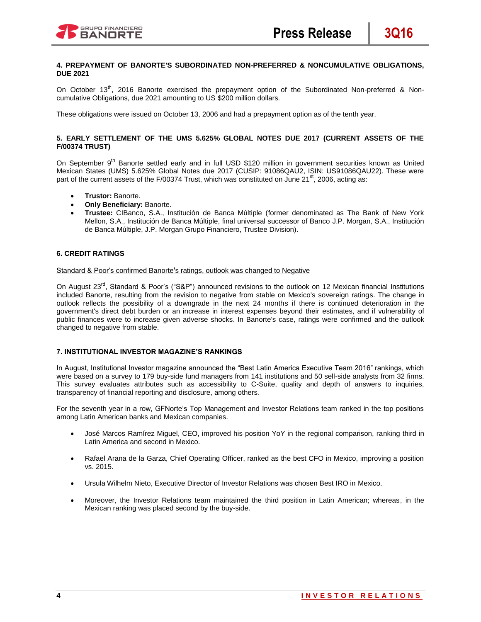

## **4. PREPAYMENT OF BANORTE'S SUBORDINATED NON-PREFERRED & NONCUMULATIVE OBLIGATIONS, DUE 2021**

On October 13<sup>th</sup>, 2016 Banorte exercised the prepayment option of the Subordinated Non-preferred & Noncumulative Obligations, due 2021 amounting to US \$200 million dollars.

These obligations were issued on October 13, 2006 and had a prepayment option as of the tenth year.

### **5. EARLY SETTLEMENT OF THE UMS 5.625% GLOBAL NOTES DUE 2017 (CURRENT ASSETS OF THE F/00374 TRUST)**

On September 9<sup>th</sup> Banorte settled early and in full USD \$120 million in government securities known as United Mexican States (UMS) 5.625% Global Notes due 2017 (CUSIP: 91086QAU2, ISIN: US91086QAU22). These were part of the current assets of the F/00374 Trust, which was constituted on June 21 $^{st}$ , 2006, acting as:

- **Trustor:** Banorte.
- **Only Beneficiary: Banorte.**
- **Trustee:** CIBanco, S.A., Institución de Banca Múltiple (former denominated as The Bank of New York Mellon, S.A., Institución de Banca Múltiple, final universal successor of Banco J.P. Morgan, S.A., Institución de Banca Múltiple, J.P. Morgan Grupo Financiero, Trustee Division).

## **6. CREDIT RATINGS**

#### Standard & Poor's confirmed Banorte's ratings, outlook was changed to Negative

On August 23<sup>rd</sup>, Standard & Poor's ("S&P") announced revisions to the outlook on 12 Mexican financial Institutions included Banorte, resulting from the revision to negative from stable on Mexico's sovereign ratings. The change in outlook reflects the possibility of a downgrade in the next 24 months if there is continued deterioration in the government's direct debt burden or an increase in interest expenses beyond their estimates, and if vulnerability of public finances were to increase given adverse shocks. In Banorte's case, ratings were confirmed and the outlook changed to negative from stable.

## **7. INSTITUTIONAL INVESTOR MAGAZINE'S RANKINGS**

In August, Institutional Investor magazine announced the "Best Latin America Executive Team 2016" rankings, which were based on a survey to 179 buy-side fund managers from 141 institutions and 50 sell-side analysts from 32 firms. This survey evaluates attributes such as accessibility to C-Suite, quality and depth of answers to inquiries, transparency of financial reporting and disclosure, among others.

For the seventh year in a row, GFNorte's Top Management and Investor Relations team ranked in the top positions among Latin American banks and Mexican companies.

- José Marcos Ramírez Miguel, CEO, improved his position YoY in the regional comparison, ranking third in Latin America and second in Mexico.
- Rafael Arana de la Garza, Chief Operating Officer, ranked as the best CFO in Mexico, improving a position vs. 2015.
- Ursula Wilhelm Nieto, Executive Director of Investor Relations was chosen Best IRO in Mexico.
- Moreover, the Investor Relations team maintained the third position in Latin American; whereas, in the Mexican ranking was placed second by the buy-side.